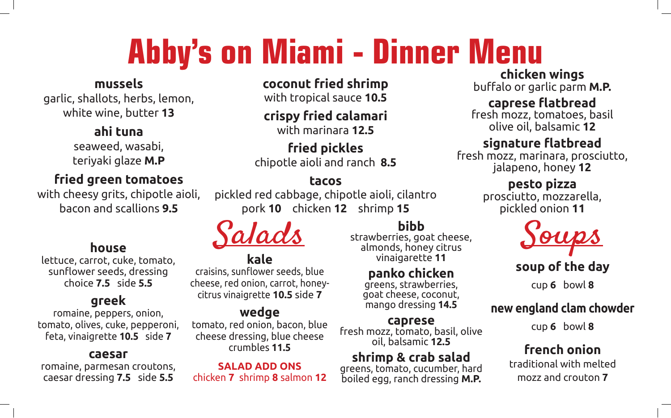# **Abby's on Miami - Dinner Menu**

#### **mussels**

garlic, shallots, herbs, lemon, white wine, butter **13**

#### **ahi tuna**

seaweed, wasabi, teriyaki glaze **M.P**

#### **fried green tomatoes**

with cheesy grits, chipotle aioli, bacon and scallions **9.5**

#### **house**

lettuce, carrot, cuke, tomato, sunflower seeds, dressing choice **7.5** side **5.5**

#### **greek**

romaine, peppers, onion, tomato, olives, cuke, pepperoni, feta, vinaigrette **10.5** side **7**

#### **caesar**

romaine, parmesan croutons, caesar dressing **7.5** side **5.5**

**coconut fried shrimp**

with tropical sauce **10.5**

#### **crispy fried calamari** with marinara **12.5**

**fried pickles** chipotle aioli and ranch **8.5**

#### **tacos**

pickled red cabbage, chipotle aioli, cilantro pork **10** chicken **12** shrimp **15**

#### **kale**

craisins, sunflower seeds, blue cheese, red onion, carrot, honeycitrus vinaigrette **10.5** side **7**

#### **wedge**

tomato, red onion, bacon, blue cheese dressing, blue cheese crumbles **11.5**

**SALAD ADD ONS** chicken **7** shrimp **8** salmon **12**

### **bibb**

strawberries, goat cheese, almonds, honey citrus vinaigarette **11**

#### **panko chicken**

greens, strawberries, goat cheese, coconut, mango dressing **14.5**

**caprese** fresh mozz, tomato, basil, olive oil, balsamic **12.5**

# **shrimp & crab salad**<br>greens, tomato, cucumber, hard

boiled egg, ranch dressing **M.P.**

## **chicken wings**

buffalo or garlic parm **M.P.** 

#### **caprese flatbread**

fresh mozz, tomatoes, basil olive oil, balsamic **12**

#### **signature flatbread**

fresh mozz, marinara, prosciutto, jalapeno, honey **12**

#### **pesto pizza**

prosciutto, mozzarella, pickled onion **11**



#### **soup of the day**

cup **6** bowl **8**

#### **new england clam chowder**

cup **6** bowl **8**

#### **french onion**

traditional with melted mozz and crouton **7**